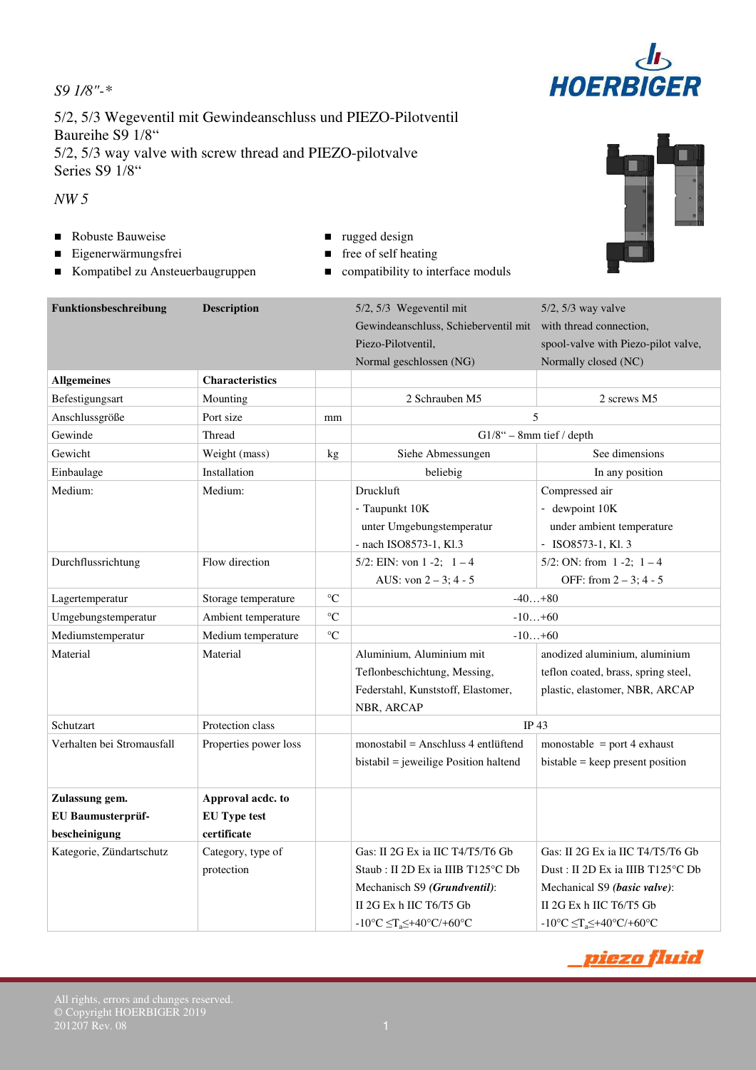5/2, 5/3 Wegeventil mit Gewindeanschluss und PIEZO-Pilotventil Baureihe S9 1/8" 5/2, 5/3 way valve with screw thread and PIEZO-pilotvalve Series S9 1/8"

### *NW 5*

- Robuste Bauweise **rugged design**
- Eigenerwärmungsfrei free of self heating
- Kompatibel zu Ansteuerbaugruppen compatibility to interface moduls
- 
- -

| Funktionsbeschreibung      | <b>Description</b>     |                 | 5/2, 5/3 Wegeventil mit<br>Gewindeanschluss, Schieberventil mit with thread connection,<br>Piezo-Pilotventil,<br>Normal geschlossen (NG) | 5/2, 5/3 way valve<br>spool-valve with Piezo-pilot valve,<br>Normally closed (NC) |  |  |  |
|----------------------------|------------------------|-----------------|------------------------------------------------------------------------------------------------------------------------------------------|-----------------------------------------------------------------------------------|--|--|--|
| <b>Allgemeines</b>         | <b>Characteristics</b> |                 |                                                                                                                                          |                                                                                   |  |  |  |
| Befestigungsart            | Mounting               |                 | 2 Schrauben M5                                                                                                                           | 2 screws M5                                                                       |  |  |  |
| Anschlussgröße             | Port size              | mm              | 5                                                                                                                                        |                                                                                   |  |  |  |
| Gewinde                    | Thread                 |                 | $G1/8"$ - 8mm tief / depth                                                                                                               |                                                                                   |  |  |  |
| Gewicht                    | Weight (mass)          | kg              | Siehe Abmessungen                                                                                                                        | See dimensions                                                                    |  |  |  |
| Einbaulage                 | Installation           |                 | beliebig                                                                                                                                 | In any position                                                                   |  |  |  |
| Medium:                    | Medium:                |                 | Druckluft                                                                                                                                | Compressed air                                                                    |  |  |  |
|                            |                        |                 | - Taupunkt 10K                                                                                                                           | - dewpoint 10K                                                                    |  |  |  |
|                            |                        |                 | unter Umgebungstemperatur                                                                                                                | under ambient temperature                                                         |  |  |  |
|                            |                        |                 | - nach ISO8573-1, Kl.3                                                                                                                   | $-$ ISO8573-1, Kl. 3                                                              |  |  |  |
| Durchflussrichtung         | Flow direction         |                 | 5/2: EIN: von 1 -2; $1-4$                                                                                                                | 5/2: ON: from $1 - 2$ ; $1 - 4$                                                   |  |  |  |
|                            |                        |                 | AUS: von $2 - 3$ ; 4 - 5                                                                                                                 | OFF: from $2 - 3$ ; 4 - 5                                                         |  |  |  |
| Lagertemperatur            | Storage temperature    | $\rm ^{\circ}C$ | $-40+80$                                                                                                                                 |                                                                                   |  |  |  |
| Umgebungstemperatur        | Ambient temperature    | $\rm ^{\circ}C$ | $-10+60$                                                                                                                                 |                                                                                   |  |  |  |
| Mediumstemperatur          | Medium temperature     | $\rm ^{\circ}C$ | $-10+60$                                                                                                                                 |                                                                                   |  |  |  |
| Material                   | Material               |                 | Aluminium, Aluminium mit                                                                                                                 | anodized aluminium, aluminium                                                     |  |  |  |
|                            |                        |                 | Teflonbeschichtung, Messing,                                                                                                             | teflon coated, brass, spring steel,                                               |  |  |  |
|                            |                        |                 | Federstahl, Kunststoff, Elastomer,                                                                                                       | plastic, elastomer, NBR, ARCAP                                                    |  |  |  |
|                            |                        |                 | NBR, ARCAP                                                                                                                               |                                                                                   |  |  |  |
| Schutzart                  | Protection class       |                 | <b>IP43</b>                                                                                                                              |                                                                                   |  |  |  |
| Verhalten bei Stromausfall | Properties power loss  |                 | $monostabil = Anschluss 4 entlüftend$                                                                                                    | monostable = port 4 exhaust                                                       |  |  |  |
|                            |                        |                 | bistabil = jeweilige Position haltend                                                                                                    | $b$ istable = keep present position                                               |  |  |  |
| Zulassung gem.             | Approval acdc. to      |                 |                                                                                                                                          |                                                                                   |  |  |  |
| EU Baumusterprüf-          | <b>EU Type test</b>    |                 |                                                                                                                                          |                                                                                   |  |  |  |
| bescheinigung              | certificate            |                 |                                                                                                                                          |                                                                                   |  |  |  |
| Kategorie, Zündartschutz   | Category, type of      |                 | Gas: II 2G Ex ia IIC T4/T5/T6 Gb                                                                                                         | Gas: II 2G Ex ia IIC T4/T5/T6 Gb                                                  |  |  |  |
|                            | protection             |                 | Staub : II 2D Ex ia IIIB T125°C Db                                                                                                       | Dust: II 2D Ex ia IIIB T125°C Db                                                  |  |  |  |
|                            |                        |                 | Mechanisch S9 (Grundventil):                                                                                                             | Mechanical S9 (basic valve):                                                      |  |  |  |
|                            |                        |                 | II 2G Ex h IIC T6/T5 Gb                                                                                                                  | II 2G Ex h IIC T6/T5 Gb                                                           |  |  |  |
|                            |                        |                 | $-10^{\circ}C \leq T_a \leq +40^{\circ}C/+60^{\circ}C$                                                                                   | $-10^{\circ}C \leq T_a \leq +40^{\circ}C/+60^{\circ}C$                            |  |  |  |





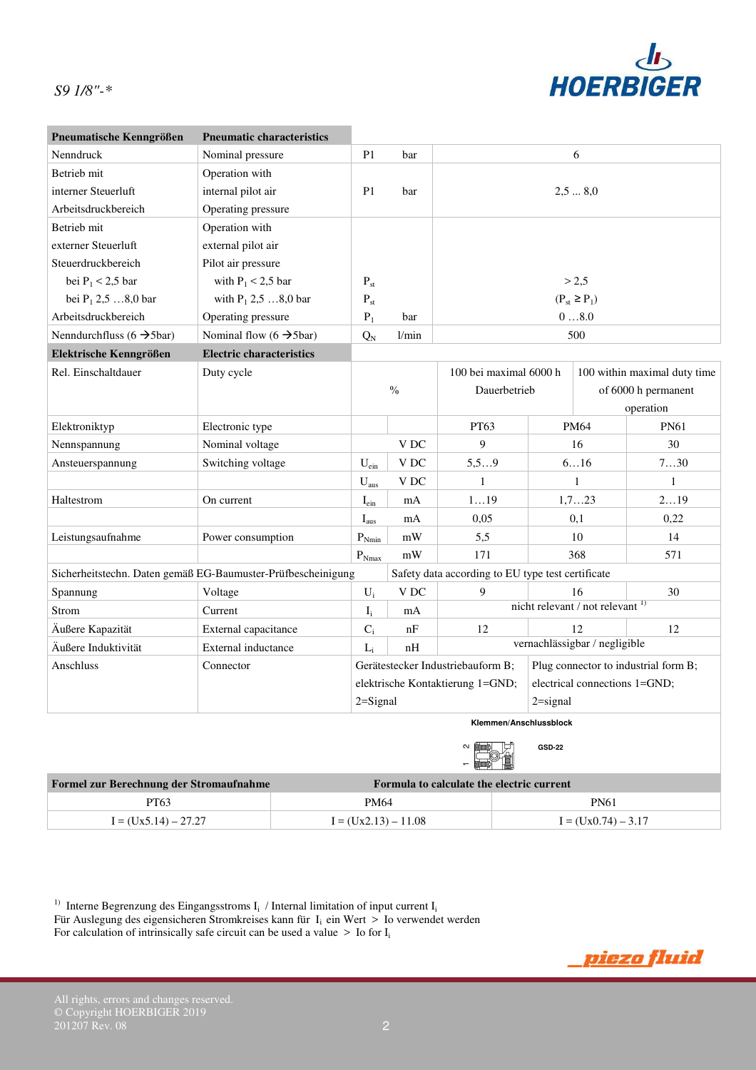

| Pneumatische Kenngrößen                                      | <b>Pneumatic characteristics</b>     |                                   |                 |                                                   |                                  |             |                              |
|--------------------------------------------------------------|--------------------------------------|-----------------------------------|-----------------|---------------------------------------------------|----------------------------------|-------------|------------------------------|
| Nenndruck                                                    | Nominal pressure                     | P <sub>1</sub>                    | bar             |                                                   |                                  | 6           |                              |
| <b>Betrieb</b> mit                                           | Operation with                       |                                   |                 |                                                   |                                  |             |                              |
| interner Steuerluft                                          | internal pilot air                   | P <sub>1</sub>                    | bar             |                                                   |                                  | 2,58,0      |                              |
| Arbeitsdruckbereich                                          | Operating pressure                   |                                   |                 |                                                   |                                  |             |                              |
| Betrieb mit                                                  | Operation with                       |                                   |                 |                                                   |                                  |             |                              |
| externer Steuerluft                                          | external pilot air                   |                                   |                 |                                                   |                                  |             |                              |
| Steuerdruckbereich                                           | Pilot air pressure                   |                                   |                 |                                                   |                                  |             |                              |
| bei $P_1 < 2.5$ bar                                          | with $P_1 < 2.5$ bar                 | $P_{st}$                          |                 |                                                   |                                  | > 2,5       |                              |
| bei $P_1$ 2,5 8,0 bar                                        | with $P_1$ 2,5 8,0 bar               | $\mathbf{P}_{\text{st}}$          |                 |                                                   | $(P_{st} \ge P_1)$               |             |                              |
| Arbeitsdruckbereich                                          | Operating pressure                   | $P_1$                             | bar             | 08.0                                              |                                  |             |                              |
| Nenndurchfluss (6 $\rightarrow$ 5bar)                        | Nominal flow $(6 \rightarrow 5$ bar) | $Q_N$                             | 1/min           | 500                                               |                                  |             |                              |
| Elektrische Kenngrößen                                       | <b>Electric characteristics</b>      |                                   |                 |                                                   |                                  |             |                              |
| Rel. Einschaltdauer                                          | Duty cycle                           |                                   |                 | 100 bei maximal 6000 h                            |                                  |             | 100 within maximal duty time |
|                                                              |                                      |                                   | $\frac{0}{0}$   | Dauerbetrieb                                      |                                  |             | of 6000 h permanent          |
|                                                              |                                      |                                   |                 |                                                   |                                  |             | operation                    |
| Elektroniktyp                                                | Electronic type                      |                                   |                 | PT63                                              |                                  | <b>PM64</b> | <b>PN61</b>                  |
| Nennspannung                                                 | Nominal voltage                      |                                   | VDC             | 9                                                 |                                  | 16          | 30                           |
| Ansteuerspannung                                             | Switching voltage                    | $U_{\text{ein}}$                  | V DC            | 5, 59                                             |                                  | 616         | 730                          |
|                                                              |                                      | $U_{\text{aus}}$                  | V DC            | 1                                                 |                                  | 1           | 1                            |
| Haltestrom                                                   | On current                           | $I_{\text{ein}}$                  | mA              | 119                                               |                                  | 1,723       | 219                          |
|                                                              |                                      | $I_{\text{aus}}$                  | mA              | 0,05                                              |                                  | 0,1         | 0,22                         |
| Leistungsaufnahme                                            | Power consumption                    | $\mathbf{P}_{Nmin}$               | $\bold{mW}$     | 5,5                                               |                                  | 10          | 14                           |
|                                                              |                                      | $P_{Nmax}$                        | mW              | 171                                               |                                  | 368         | 571                          |
| Sicherheitstechn. Daten gemäß EG-Baumuster-Prüfbescheinigung |                                      |                                   |                 | Safety data according to EU type test certificate |                                  |             |                              |
| Spannung                                                     | Voltage                              | $U_i$                             | V <sub>DC</sub> | 9                                                 |                                  | 16          | 30                           |
| Strom                                                        | Current                              | $I_i$                             | mA              |                                                   | nicht relevant / not relevant 1) |             |                              |
| Äußere Kapazität                                             | External capacitance                 | $C_i$                             | nF              | 12                                                | 12                               |             | 12                           |
| Äußere Induktivität                                          | External inductance                  | $L_i$                             | nH              |                                                   | vernachlässigbar / negligible    |             |                              |
| Anschluss<br>Connector                                       |                                      | Gerätestecker Industriebauform B; |                 | Plug connector to industrial form B;              |                                  |             |                              |
|                                                              |                                      | elektrische Kontaktierung 1=GND;  |                 | electrical connections 1=GND;                     |                                  |             |                              |
|                                                              |                                      | $2 =$ Signal                      |                 | $2 = signal$                                      |                                  |             |                              |
|                                                              |                                      |                                   |                 | Klemmen/Anschlussblock                            |                                  |             |                              |
|                                                              |                                      |                                   |                 |                                                   |                                  |             |                              |

| Formel zur Berechnung der Stromaufnahme | Formula to calculate the electric current |                       |  |  |
|-----------------------------------------|-------------------------------------------|-----------------------|--|--|
| PT63                                    | PM64                                      | <b>PN61</b>           |  |  |
| $I = (Ux5.14) - 27.27$                  | $I = (Ux2.13) - 11.08$                    | $I = (Ux0.74) - 3.17$ |  |  |

<sup>1)</sup> Interne Begrenzung des Eingangsstroms  $I_i$  / Internal limitation of input current  $I_i$ Für Auslegung des eigensicheren Stromkreises kann für  $I_i$  ein Wert > Io verwendet werden For calculation of intrinsically safe circuit can be used a value  $>$  Io for I<sub>i</sub>



**GSD-22**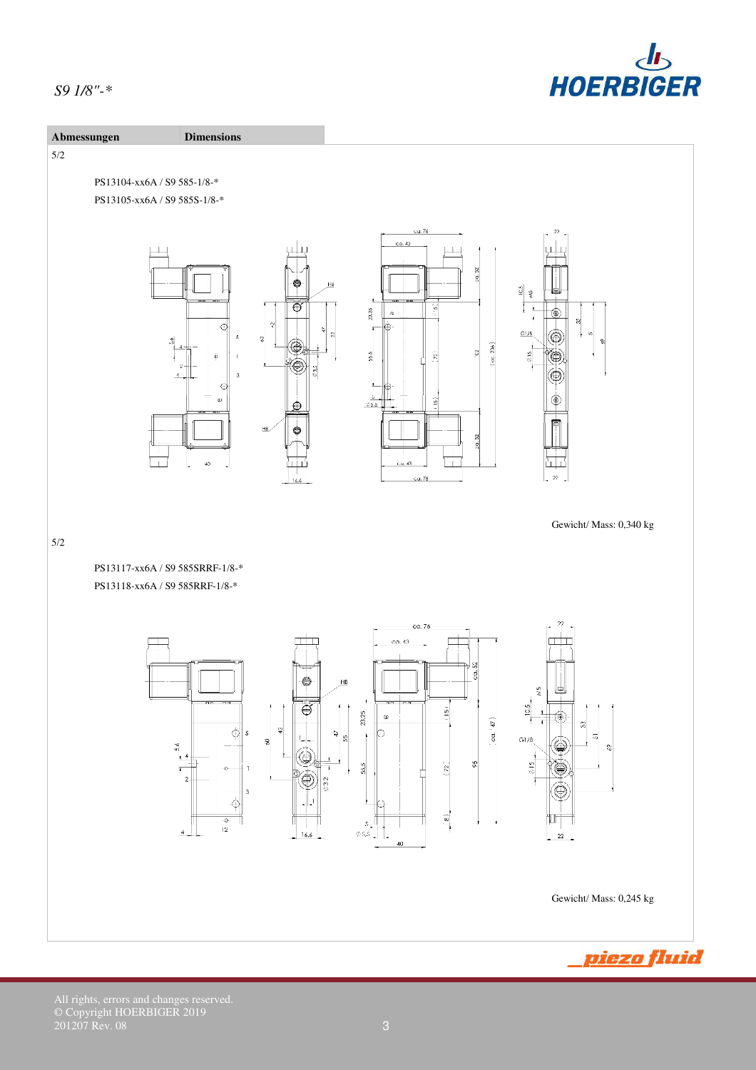



© Copyright HOERBIGER 2019  $201207$  Rev. 08  $3$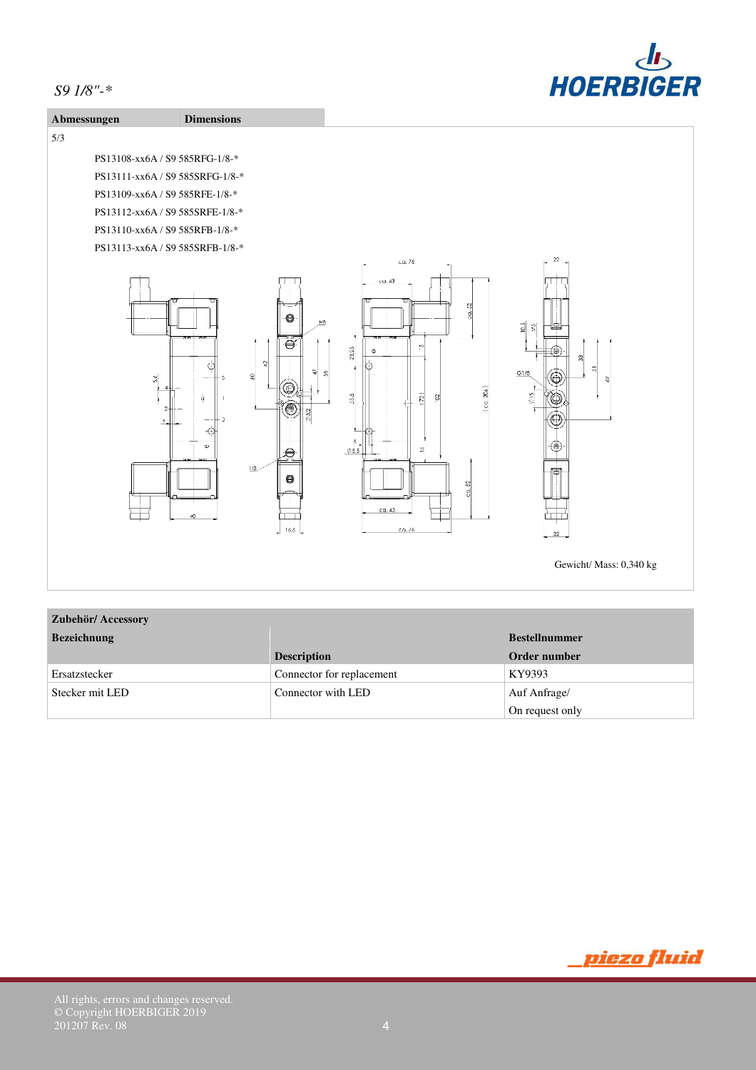



# **Zubehör/ Accessory**

| <b>Bezeichnung</b> |                           | <b>Bestellnummer</b> |
|--------------------|---------------------------|----------------------|
|                    | <b>Description</b>        | Order number         |
| Ersatzstecker      | Connector for replacement | KY9393               |
| Stecker mit LED    | Connector with LED        | Auf Anfrage/         |
|                    |                           | On request only      |